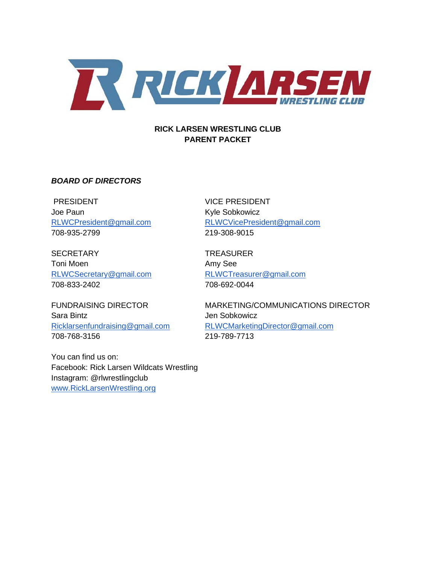

#### **RICK LARSEN WRESTLING CLUB PARENT PACKET**

#### *BOARD OF DIRECTORS*

PRESIDENT VICE PRESIDENT Joe Paun **Kyle Sobkowicz** 708-935-2799 219-308-9015

SECRETARY TREASURER Toni Moen **Amy See** [RLWCSecretary@gmail.com](mailto:RLWCSecretary@gmail.com) [RLWCTreasurer@gmail.com](mailto:RLWCTreasurer@gmail.com) 708-833-2402 708-692-0044

Sara Bintz **Sara Bintz** Jen Sobkowicz 708-768-3156 219-789-7713

You can find us on: Facebook: Rick Larsen Wildcats Wrestling Instagram: @rlwrestlingclub [www.RickLarsenWrestling.org](http://www.ricklarsenwrestling.org/)

[RLWCPresident@gmail.com](mailto:RLWCPresident@gmail.com) [RLWCVicePresident@gmail.com](mailto:RLWCVicePresident@gmail.com)

FUNDRAISING DIRECTOR MARKETING/COMMUNICATIONS DIRECTOR [Ricklarsenfundraising@gmail.com](mailto:Ricklarsenfjndraising@gmail.com) [RLWCMarketingDirector@gmail.com](mailto:RLWCMarketingDirector@gmail.com)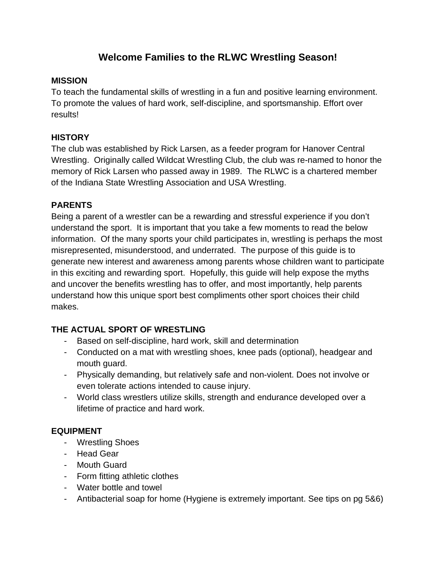# **Welcome Families to the RLWC Wrestling Season!**

# **MISSION**

To teach the fundamental skills of wrestling in a fun and positive learning environment. To promote the values of hard work, self-discipline, and sportsmanship. Effort over results!

# **HISTORY**

The club was established by Rick Larsen, as a feeder program for Hanover Central Wrestling. Originally called Wildcat Wrestling Club, the club was re-named to honor the memory of Rick Larsen who passed away in 1989. The RLWC is a chartered member of the Indiana State Wrestling Association and USA Wrestling.

#### **PARENTS**

Being a parent of a wrestler can be a rewarding and stressful experience if you don't understand the sport. It is important that you take a few moments to read the below information. Of the many sports your child participates in, wrestling is perhaps the most misrepresented, misunderstood, and underrated. The purpose of this guide is to generate new interest and awareness among parents whose children want to participate in this exciting and rewarding sport. Hopefully, this guide will help expose the myths and uncover the benefits wrestling has to offer, and most importantly, help parents understand how this unique sport best compliments other sport choices their child makes.

# **THE ACTUAL SPORT OF WRESTLING**

- Based on self-discipline, hard work, skill and determination
- Conducted on a mat with wrestling shoes, knee pads (optional), headgear and mouth guard.
- Physically demanding, but relatively safe and non-violent. Does not involve or even tolerate actions intended to cause injury.
- World class wrestlers utilize skills, strength and endurance developed over a lifetime of practice and hard work.

# **EQUIPMENT**

- Wrestling Shoes
- Head Gear
- Mouth Guard
- Form fitting athletic clothes
- Water bottle and towel
- Antibacterial soap for home (Hygiene is extremely important. See tips on pg 5&6)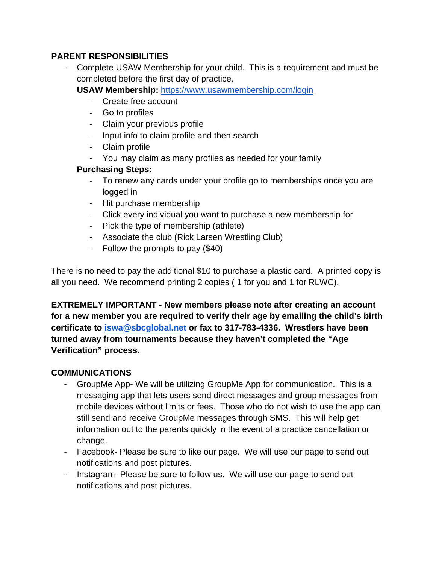# **PARENT RESPONSIBILITIES**

- Complete USAW Membership for your child. This is a requirement and must be completed before the first day of practice.

**USAW Membership:** <https://www.usawmembership.com/login>

- Create free account
- Go to profiles
- Claim your previous profile
- Input info to claim profile and then search
- Claim profile
- You may claim as many profiles as needed for your family

# **Purchasing Steps:**

- To renew any cards under your profile go to memberships once you are logged in
- Hit purchase membership
- Click every individual you want to purchase a new membership for
- Pick the type of membership (athlete)
- Associate the club (Rick Larsen Wrestling Club)
- Follow the prompts to pay (\$40)

There is no need to pay the additional \$10 to purchase a plastic card. A printed copy is all you need. We recommend printing 2 copies ( 1 for you and 1 for RLWC).

**EXTREMELY IMPORTANT - New members please note after creating an account for a new member you are required to verify their age by emailing the child's birth certificate to [iswa@sbcglobal.net](mailto:iswa@sbcglobal.net) or fax to 317-783-4336. Wrestlers have been turned away from tournaments because they haven't completed the "Age Verification" process.**

# **COMMUNICATIONS**

- GroupMe App- We will be utilizing GroupMe App for communication. This is a messaging app that lets users send direct messages and group messages from mobile devices without limits or fees. Those who do not wish to use the app can still send and receive GroupMe messages through SMS. This will help get information out to the parents quickly in the event of a practice cancellation or change.
- Facebook- Please be sure to like our page. We will use our page to send out notifications and post pictures.
- Instagram- Please be sure to follow us. We will use our page to send out notifications and post pictures.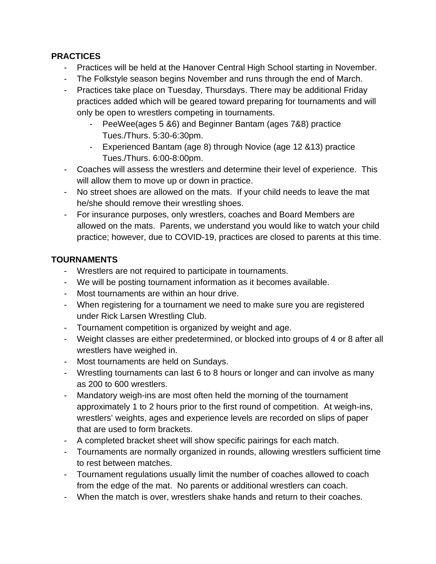# **PRACTICES**

- Practices will be held at the Hanover Central High School starting in November.
- The Folkstyle season begins November and runs through the end of March.
- Practices take place on Tuesday, Thursdays. There may be additional Friday practices added which will be geared toward preparing for tournaments and will only be open to wrestlers competing in tournaments.
	- PeeWee(ages 5 &6) and Beginner Bantam (ages 7&8) practice Tues./Thurs. 5:30-6:30pm.
	- Experienced Bantam (age 8) through Novice (age 12 &13) practice Tues./Thurs. 6:00-8:00pm.
- Coaches will assess the wrestlers and determine their level of experience. This will allow them to move up or down in practice.
- No street shoes are allowed on the mats. If your child needs to leave the mat he/she should remove their wrestling shoes.
- For insurance purposes, only wrestlers, coaches and Board Members are allowed on the mats. Parents, we understand you would like to watch your child practice; however, due to COVID-19, practices are closed to parents at this time.

# **TOURNAMENTS**

- Wrestlers are not required to participate in tournaments.
- We will be posting tournament information as it becomes available.
- Most tournaments are within an hour drive.
- When registering for a tournament we need to make sure you are registered under Rick Larsen Wrestling Club.
- Tournament competition is organized by weight and age.
- Weight classes are either predetermined, or blocked into groups of 4 or 8 after all wrestlers have weighed in.
- Most tournaments are held on Sundays.
- Wrestling tournaments can last 6 to 8 hours or longer and can involve as many as 200 to 600 wrestlers.
- Mandatory weigh-ins are most often held the morning of the tournament approximately 1 to 2 hours prior to the first round of competition. At weigh-ins, wrestlers' weights, ages and experience levels are recorded on slips of paper that are used to form brackets.
- A completed bracket sheet will show specific pairings for each match.
- Tournaments are normally organized in rounds, allowing wrestlers sufficient time to rest between matches.
- Tournament regulations usually limit the number of coaches allowed to coach from the edge of the mat. No parents or additional wrestlers can coach.
- When the match is over, wrestlers shake hands and return to their coaches.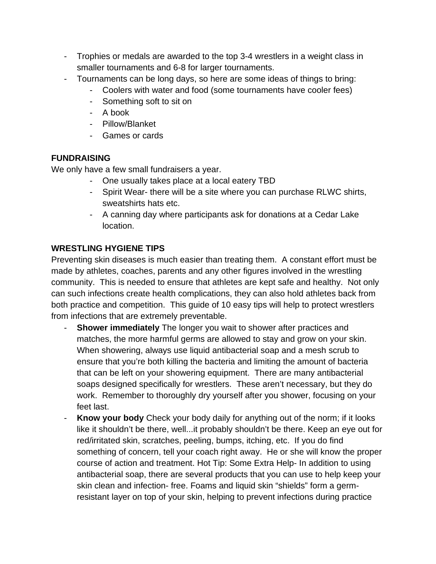- Trophies or medals are awarded to the top 3-4 wrestlers in a weight class in smaller tournaments and 6-8 for larger tournaments.
- Tournaments can be long days, so here are some ideas of things to bring:
	- Coolers with water and food (some tournaments have cooler fees)
	- Something soft to sit on
	- A book
	- Pillow/Blanket
	- Games or cards

# **FUNDRAISING**

We only have a few small fundraisers a year.

- One usually takes place at a local eatery TBD
- Spirit Wear- there will be a site where you can purchase RLWC shirts, sweatshirts hats etc.
- A canning day where participants ask for donations at a Cedar Lake location.

# **WRESTLING HYGIENE TIPS**

Preventing skin diseases is much easier than treating them. A constant effort must be made by athletes, coaches, parents and any other figures involved in the wrestling community. This is needed to ensure that athletes are kept safe and healthy. Not only can such infections create health complications, they can also hold athletes back from both practice and competition. This guide of 10 easy tips will help to protect wrestlers from infections that are extremely preventable.

- **Shower immediately** The longer you wait to shower after practices and matches, the more harmful germs are allowed to stay and grow on your skin. When showering, always use liquid antibacterial soap and a mesh scrub to ensure that you're both killing the bacteria and limiting the amount of bacteria that can be left on your showering equipment. There are many antibacterial soaps designed specifically for wrestlers. These aren't necessary, but they do work. Remember to thoroughly dry yourself after you shower, focusing on your feet last.
- **Know your body** Check your body daily for anything out of the norm; if it looks like it shouldn't be there, well...it probably shouldn't be there. Keep an eye out for red/irritated skin, scratches, peeling, bumps, itching, etc. If you do find something of concern, tell your coach right away. He or she will know the proper course of action and treatment. Hot Tip: Some Extra Help- In addition to using antibacterial soap, there are several products that you can use to help keep your skin clean and infection- free. Foams and liquid skin "shields" form a germresistant layer on top of your skin, helping to prevent infections during practice